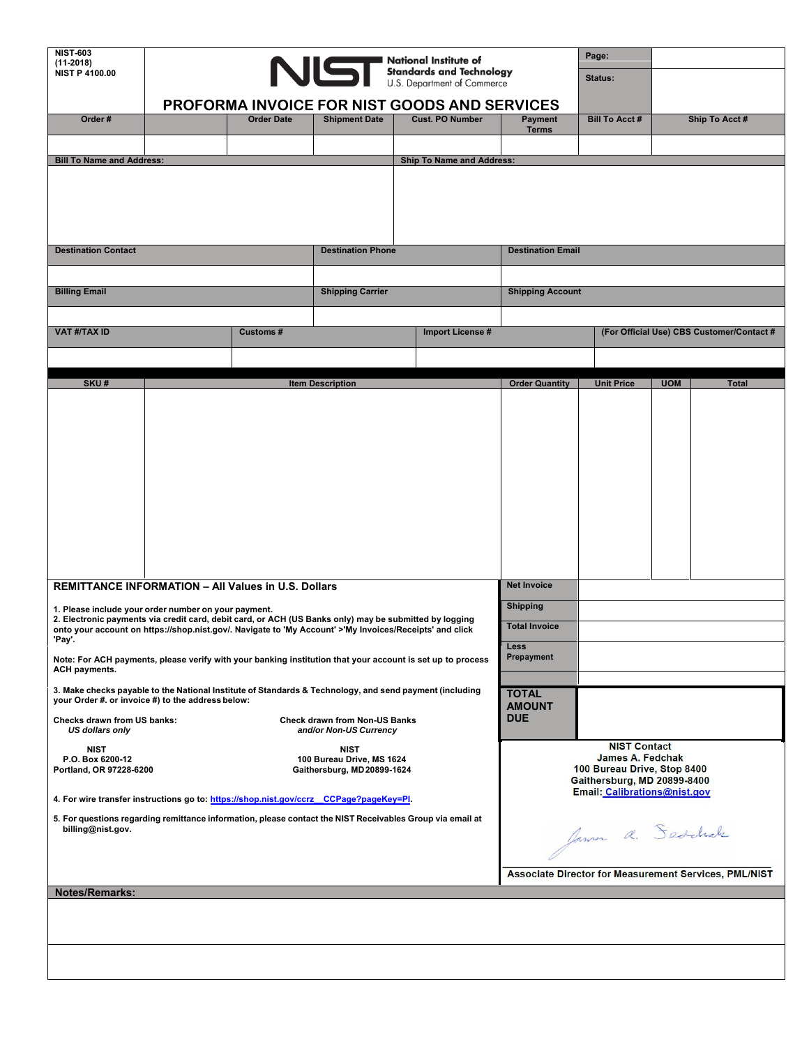| <b>NIST-603</b><br>$(11-2018)$                                                                                                                                                                                                                                            | NUST National Institute of<br>U.S. Department of Commerce               |                   |                                      |                                                        |                                              |                                                              | Page:                                     |  |                |
|---------------------------------------------------------------------------------------------------------------------------------------------------------------------------------------------------------------------------------------------------------------------------|-------------------------------------------------------------------------|-------------------|--------------------------------------|--------------------------------------------------------|----------------------------------------------|--------------------------------------------------------------|-------------------------------------------|--|----------------|
| <b>NIST P 4100.00</b>                                                                                                                                                                                                                                                     |                                                                         |                   |                                      |                                                        |                                              |                                                              | Status:                                   |  |                |
|                                                                                                                                                                                                                                                                           |                                                                         |                   |                                      |                                                        | PROFORMA INVOICE FOR NIST GOODS AND SERVICES |                                                              |                                           |  |                |
| Order#                                                                                                                                                                                                                                                                    |                                                                         | <b>Order Date</b> | <b>Shipment Date</b>                 |                                                        | <b>Cust. PO Number</b>                       | <b>Payment</b><br><b>Terms</b>                               | <b>Bill To Acct #</b>                     |  | Ship To Acct # |
| <b>Bill To Name and Address:</b>                                                                                                                                                                                                                                          |                                                                         |                   |                                      |                                                        | <b>Ship To Name and Address:</b>             |                                                              |                                           |  |                |
|                                                                                                                                                                                                                                                                           |                                                                         |                   |                                      |                                                        |                                              |                                                              |                                           |  |                |
|                                                                                                                                                                                                                                                                           |                                                                         |                   |                                      |                                                        |                                              |                                                              |                                           |  |                |
|                                                                                                                                                                                                                                                                           |                                                                         |                   |                                      |                                                        |                                              |                                                              |                                           |  |                |
| <b>Destination Contact</b>                                                                                                                                                                                                                                                | <b>Destination Phone</b>                                                |                   |                                      | <b>Destination Email</b>                               |                                              |                                                              |                                           |  |                |
|                                                                                                                                                                                                                                                                           |                                                                         |                   |                                      |                                                        |                                              |                                                              |                                           |  |                |
| <b>Billing Email</b>                                                                                                                                                                                                                                                      |                                                                         |                   | <b>Shipping Carrier</b>              |                                                        |                                              | <b>Shipping Account</b>                                      |                                           |  |                |
|                                                                                                                                                                                                                                                                           |                                                                         |                   |                                      |                                                        |                                              |                                                              |                                           |  |                |
| <b>VAT #/TAX ID</b>                                                                                                                                                                                                                                                       |                                                                         | <b>Customs#</b>   |                                      |                                                        | <b>Import License#</b>                       |                                                              | (For Official Use) CBS Customer/Contact # |  |                |
|                                                                                                                                                                                                                                                                           |                                                                         |                   |                                      |                                                        |                                              |                                                              |                                           |  |                |
| SKU#                                                                                                                                                                                                                                                                      | <b>Item Description</b>                                                 |                   |                                      | <b>Order Quantity</b>                                  | <b>Unit Price</b>                            | <b>UOM</b>                                                   | <b>Total</b>                              |  |                |
|                                                                                                                                                                                                                                                                           |                                                                         |                   |                                      |                                                        |                                              |                                                              |                                           |  |                |
|                                                                                                                                                                                                                                                                           |                                                                         |                   |                                      |                                                        |                                              |                                                              |                                           |  |                |
|                                                                                                                                                                                                                                                                           |                                                                         |                   |                                      |                                                        |                                              |                                                              |                                           |  |                |
|                                                                                                                                                                                                                                                                           |                                                                         |                   |                                      |                                                        |                                              |                                                              |                                           |  |                |
|                                                                                                                                                                                                                                                                           |                                                                         |                   |                                      |                                                        |                                              |                                                              |                                           |  |                |
|                                                                                                                                                                                                                                                                           |                                                                         |                   |                                      |                                                        |                                              |                                                              |                                           |  |                |
|                                                                                                                                                                                                                                                                           |                                                                         |                   |                                      |                                                        |                                              |                                                              |                                           |  |                |
|                                                                                                                                                                                                                                                                           |                                                                         |                   |                                      |                                                        |                                              |                                                              |                                           |  |                |
| <b>REMITTANCE INFORMATION - All Values in U.S. Dollars</b>                                                                                                                                                                                                                |                                                                         |                   |                                      |                                                        |                                              | <b>Net Invoice</b>                                           |                                           |  |                |
| 1. Please include your order number on your payment.<br>2. Electronic payments via credit card, debit card, or ACH (US Banks only) may be submitted by logging<br>onto your account on https://shop.nist.gov/. Navigate to 'My Account' >'My Invoices/Receipts' and click |                                                                         |                   |                                      |                                                        |                                              | <b>Shipping</b><br><b>Total Invoice</b>                      |                                           |  |                |
| 'Pay'.                                                                                                                                                                                                                                                                    |                                                                         |                   |                                      | Less                                                   |                                              |                                                              |                                           |  |                |
| Note: For ACH payments, please verify with your banking institution that your account is set up to process<br>ACH payments.                                                                                                                                               |                                                                         |                   |                                      |                                                        |                                              | Prepayment                                                   |                                           |  |                |
| 3. Make checks payable to the National Institute of Standards & Technology, and send payment (including<br>your Order #. or invoice #) to the address below:                                                                                                              |                                                                         |                   |                                      |                                                        |                                              | <b>TOTAL</b>                                                 |                                           |  |                |
| Checks drawn from US banks:                                                                                                                                                                                                                                               |                                                                         |                   | <b>Check drawn from Non-US Banks</b> |                                                        |                                              | <b>AMOUNT</b><br><b>DUE</b>                                  |                                           |  |                |
| US dollars only                                                                                                                                                                                                                                                           |                                                                         |                   | and/or Non-US Currency               |                                                        |                                              |                                                              | <b>NIST Contact</b>                       |  |                |
| <b>NIST</b><br>P.O. Box 6200-12<br>Portland, OR 97228-6200                                                                                                                                                                                                                | <b>NIST</b><br>100 Bureau Drive, MS 1624<br>Gaithersburg, MD 20899-1624 |                   |                                      | <b>James A. Fedchak</b><br>100 Bureau Drive, Stop 8400 |                                              |                                                              |                                           |  |                |
| 4. For wire transfer instructions go to: https://shop.nist.gov/ccrz CCPage?pageKey=PI.                                                                                                                                                                                    |                                                                         |                   |                                      |                                                        |                                              | Gaithersburg, MD 20899-8400<br>Email: Calibrations@nist.gov  |                                           |  |                |
|                                                                                                                                                                                                                                                                           |                                                                         |                   |                                      |                                                        |                                              |                                                              |                                           |  |                |
| 5. For questions regarding remittance information, please contact the NIST Receivables Group via email at<br>billing@nist.gov.                                                                                                                                            |                                                                         |                   |                                      |                                                        |                                              | James a. Seddrak                                             |                                           |  |                |
|                                                                                                                                                                                                                                                                           |                                                                         |                   |                                      |                                                        |                                              |                                                              |                                           |  |                |
|                                                                                                                                                                                                                                                                           |                                                                         |                   |                                      |                                                        |                                              | <b>Associate Director for Measurement Services, PML/NIST</b> |                                           |  |                |
| Notes/Remarks:                                                                                                                                                                                                                                                            |                                                                         |                   |                                      |                                                        |                                              |                                                              |                                           |  |                |
|                                                                                                                                                                                                                                                                           |                                                                         |                   |                                      |                                                        |                                              |                                                              |                                           |  |                |
|                                                                                                                                                                                                                                                                           |                                                                         |                   |                                      |                                                        |                                              |                                                              |                                           |  |                |
|                                                                                                                                                                                                                                                                           |                                                                         |                   |                                      |                                                        |                                              |                                                              |                                           |  |                |
|                                                                                                                                                                                                                                                                           |                                                                         |                   |                                      |                                                        |                                              |                                                              |                                           |  |                |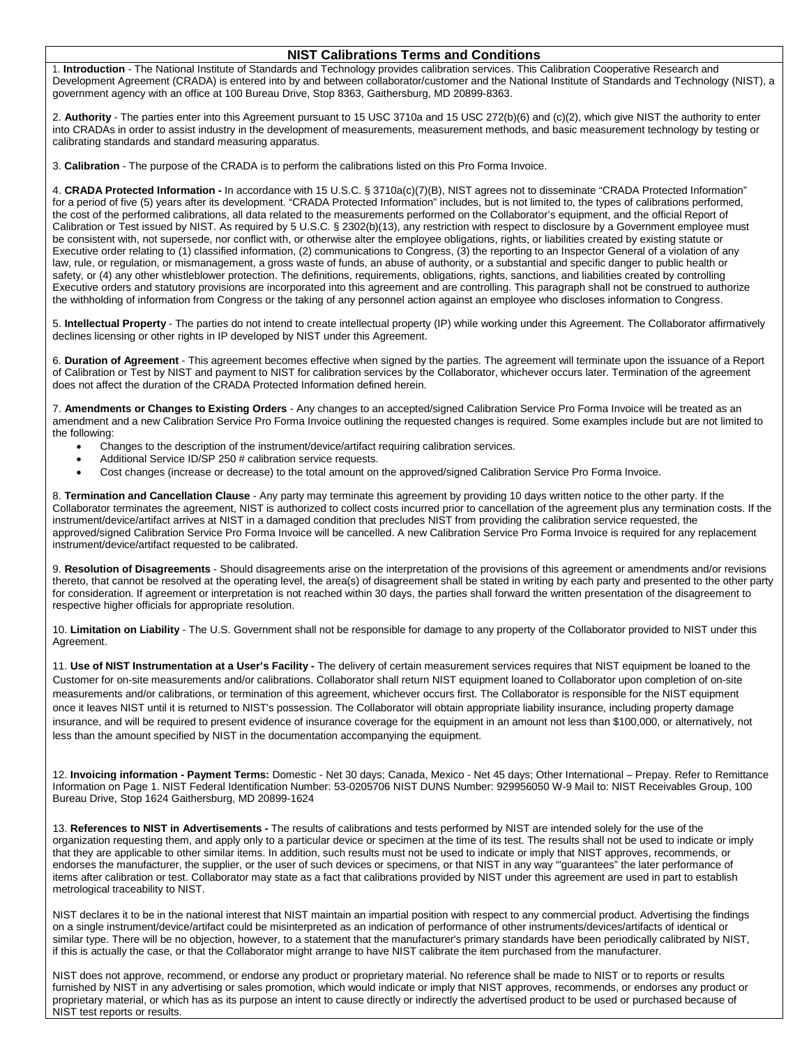## **NIST Calibrations Terms and Conditions**

1. **Introduction** - The National Institute of Standards and Technology provides calibration services. This Calibration Cooperative Research and Development Agreement (CRADA) is entered into by and between collaborator/customer and the National Institute of Standards and Technology (NIST), a government agency with an office at 100 Bureau Drive, Stop 8363, Gaithersburg, MD 20899-8363.

 2. **Authority** - The parties enter into this Agreement pursuant to 15 USC 3710a and 15 USC 272(b)(6) and (c)(2), which give NIST the authority to enter into CRADAs in order to assist industry in the development of measurements, measurement methods, and basic measurement technology by testing or calibrating standards and standard measuring apparatus.

3. **Calibration** - The purpose of the CRADA is to perform the calibrations listed on this Pro Forma Invoice.

 the cost of the performed calibrations, all data related to the measurements performed on the Collaborator's equipment, and the official Report of Executive order relating to (1) classified information, (2) communications to Congress, (3) the reporting to an Inspector General of a violation of any law, rule, or regulation, or mismanagement, a gross waste of funds, an abuse of authority, or a substantial and specific danger to public health or Executive orders and statutory provisions are incorporated into this agreement and are controlling. This paragraph shall not be construed to authorize the withholding of information from Congress or the taking of any personnel action against an employee who discloses information to Congress. 4. **CRADA Protected Information -** In accordance with 15 U.S.C. § 3710a(c)(7)(B), NIST agrees not to disseminate "CRADA Protected Information" for a period of five (5) years after its development. "CRADA Protected Information" includes, but is not limited to, the types of calibrations performed, Calibration or Test issued by NIST. As required by 5 U.S.C. § 2302(b)(13), any restriction with respect to disclosure by a Government employee must be consistent with, not supersede, nor conflict with, or otherwise alter the employee obligations, rights, or liabilities created by existing statute or safety, or (4) any other whistleblower protection. The definitions, requirements, obligations, rights, sanctions, and liabilities created by controlling

 5. **Intellectual Property** - The parties do not intend to create intellectual property (IP) while working under this Agreement. The Collaborator affirmatively declines licensing or other rights in IP developed by NIST under this Agreement.

 6. **Duration of Agreement** - This agreement becomes effective when signed by the parties. The agreement will terminate upon the issuance of a Report of Calibration or Test by NIST and payment to NIST for calibration services by the Collaborator, whichever occurs later. Termination of the agreement does not affect the duration of the CRADA Protected Information defined herein.

 7. **Amendments or Changes to Existing Orders** - Any changes to an accepted/signed Calibration Service Pro Forma Invoice will be treated as an amendment and a new Calibration Service Pro Forma Invoice outlining the requested changes is required. Some examples include but are not limited to the following:

- Changes to the description of the instrument/device/artifact requiring calibration services.
- Additional Service ID/SP 250 # calibration service requests.
- Cost changes (increase or decrease) to the total amount on the approved/signed Calibration Service Pro Forma Invoice.

 8. **Termination and Cancellation Clause** - Any party may terminate this agreement by providing 10 days written notice to the other party. If the Collaborator terminates the agreement, NIST is authorized to collect costs incurred prior to cancellation of the agreement plus any termination costs. If the instrument/device/artifact arrives at NIST in a damaged condition that precludes NIST from providing the calibration service requested, the approved/signed Calibration Service Pro Forma Invoice will be cancelled. A new Calibration Service Pro Forma Invoice is required for any replacement instrument/device/artifact requested to be calibrated.

 9. **Resolution of Disagreements** - Should disagreements arise on the interpretation of the provisions of this agreement or amendments and/or revisions thereto, that cannot be resolved at the operating level, the area(s) of disagreement shall be stated in writing by each party and presented to the other party for consideration. If agreement or interpretation is not reached within 30 days, the parties shall forward the written presentation of the disagreement to respective higher officials for appropriate resolution.

 10. **Limitation on Liability** - The U.S. Government shall not be responsible for damage to any property of the Collaborator provided to NIST under this Agreement.

 11. **Use of NIST Instrumentation at a User's Facility -** The delivery of certain measurement services requires that NIST equipment be loaned to the Customer for on-site measurements and/or calibrations. Collaborator shall return NIST equipment loaned to Collaborator upon completion of on-site measurements and/or calibrations, or termination of this agreement, whichever occurs first. The Collaborator is responsible for the NIST equipment insurance, and will be required to present evidence of insurance coverage for the equipment in an amount not less than \$100,000, or alternatively, not once it leaves NIST until it is returned to NIST's possession. The Collaborator will obtain appropriate liability insurance, including property damage less than the amount specified by NIST in the documentation accompanying the equipment.

 12. **Invoicing information - Payment Terms:** Domestic - Net 30 days; Canada, Mexico - Net 45 days; Other International – Prepay. Refer to Remittance Information on Page 1. NIST Federal Identification Number: 53-0205706 NIST DUNS Number: 929956050 W-9 Mail to: NIST Receivables Group, 100 Bureau Drive, Stop 1624 Gaithersburg, MD 20899-1624

 13. **References to NIST in Advertisements -** The results of calibrations and tests performed by NIST are intended solely for the use of the organization requesting them, and apply only to a particular device or specimen at the time of its test. The results shall not be used to indicate or imply that they are applicable to other similar items. In addition, such results must not be used to indicate or imply that NIST approves, recommends, or items after calibration or test. Collaborator may state as a fact that calibrations provided by NIST under this agreement are used in part to establish endorses the manufacturer, the supplier, or the user of such devices or specimens, or that NIST in any way "'guarantees" the later performance of metrological traceability to NIST.

 NIST declares it to be in the national interest that NIST maintain an impartial position with respect to any commercial product. Advertising the findings similar type. There will be no objection, however, to a statement that the manufacturer's primary standards have been periodically calibrated by NIST, if this is actually the case, or that the Collaborator might arrange to have NIST calibrate the item purchased from the manufacturer. on a single instrument/device/artifact could be misinterpreted as an indication of performance of other instruments/devices/artifacts of identical or

 furnished by NIST in any advertising or sales promotion, which would indicate or imply that NIST approves, recommends, or endorses any product or proprietary material, or which has as its purpose an intent to cause directly or indirectly the advertised product to be used or purchased because of NIST does not approve, recommend, or endorse any product or proprietary material. No reference shall be made to NIST or to reports or results NIST test reports or results.